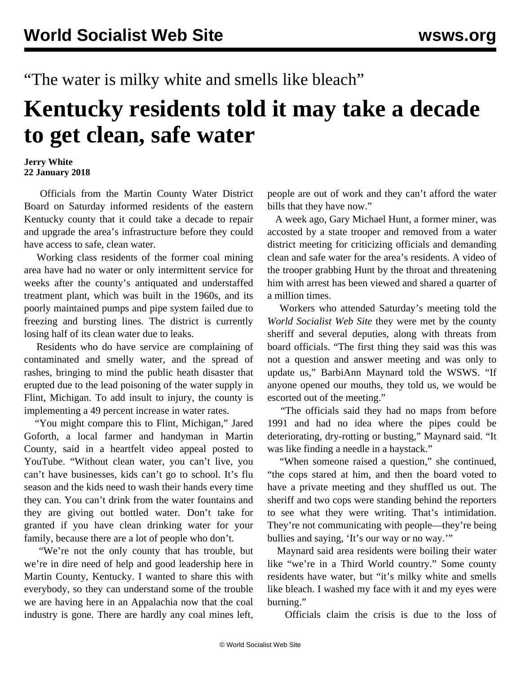"The water is milky white and smells like bleach"

## **Kentucky residents told it may take a decade to get clean, safe water**

## **Jerry White 22 January 2018**

 Officials from the Martin County Water District Board on Saturday informed residents of the eastern Kentucky county that it could take a decade to repair and upgrade the area's infrastructure before they could have access to safe, clean water.

 Working class residents of the former coal mining area have had no water or only intermittent service for weeks after the county's antiquated and understaffed treatment plant, which was built in the 1960s, and its poorly maintained pumps and pipe system failed due to freezing and bursting lines. The district is currently losing half of its clean water due to leaks.

 Residents who do have service are complaining of contaminated and smelly water, and the spread of rashes, bringing to mind the public heath disaster that erupted due to the lead poisoning of the water supply in Flint, Michigan. To add insult to injury, the county is implementing a 49 percent increase in water rates.

 "You might compare this to Flint, Michigan," Jared Goforth, a local farmer and handyman in Martin County, said in a heartfelt video appeal posted to YouTube. "Without clean water, you can't live, you can't have businesses, kids can't go to school. It's flu season and the kids need to wash their hands every time they can. You can't drink from the water fountains and they are giving out bottled water. Don't take for granted if you have clean drinking water for your family, because there are a lot of people who don't.

 "We're not the only county that has trouble, but we're in dire need of help and good leadership here in Martin County, Kentucky. I wanted to share this with everybody, so they can understand some of the trouble we are having here in an Appalachia now that the coal industry is gone. There are hardly any coal mines left,

people are out of work and they can't afford the water bills that they have now."

 A week ago, Gary Michael Hunt, a former miner, was accosted by a state trooper and removed from a water district meeting for criticizing officials and demanding clean and safe water for the area's residents. A [video](https://www.facebook.com/lex18/videos/10156168205253447/) of the trooper grabbing Hunt by the throat and threatening him with arrest has been viewed and shared a quarter of a million times.

 Workers who attended Saturday's meeting told the *World Socialist Web Site* they were met by the county sheriff and several deputies, along with threats from board officials. "The first thing they said was this was not a question and answer meeting and was only to update us," BarbiAnn Maynard told the WSWS. "If anyone opened our mouths, they told us, we would be escorted out of the meeting."

 "The officials said they had no maps from before 1991 and had no idea where the pipes could be deteriorating, dry-rotting or busting," Maynard said. "It was like finding a needle in a haystack."

 "When someone raised a question," she continued, "the cops stared at him, and then the board voted to have a private meeting and they shuffled us out. The sheriff and two cops were standing behind the reporters to see what they were writing. That's intimidation. They're not communicating with people—they're being bullies and saying, 'It's our way or no way.'"

 Maynard said area residents were boiling their water like "we're in a Third World country." Some county residents have water, but "it's milky white and smells like bleach. I washed my face with it and my eyes were burning."

Officials claim the crisis is due to the loss of